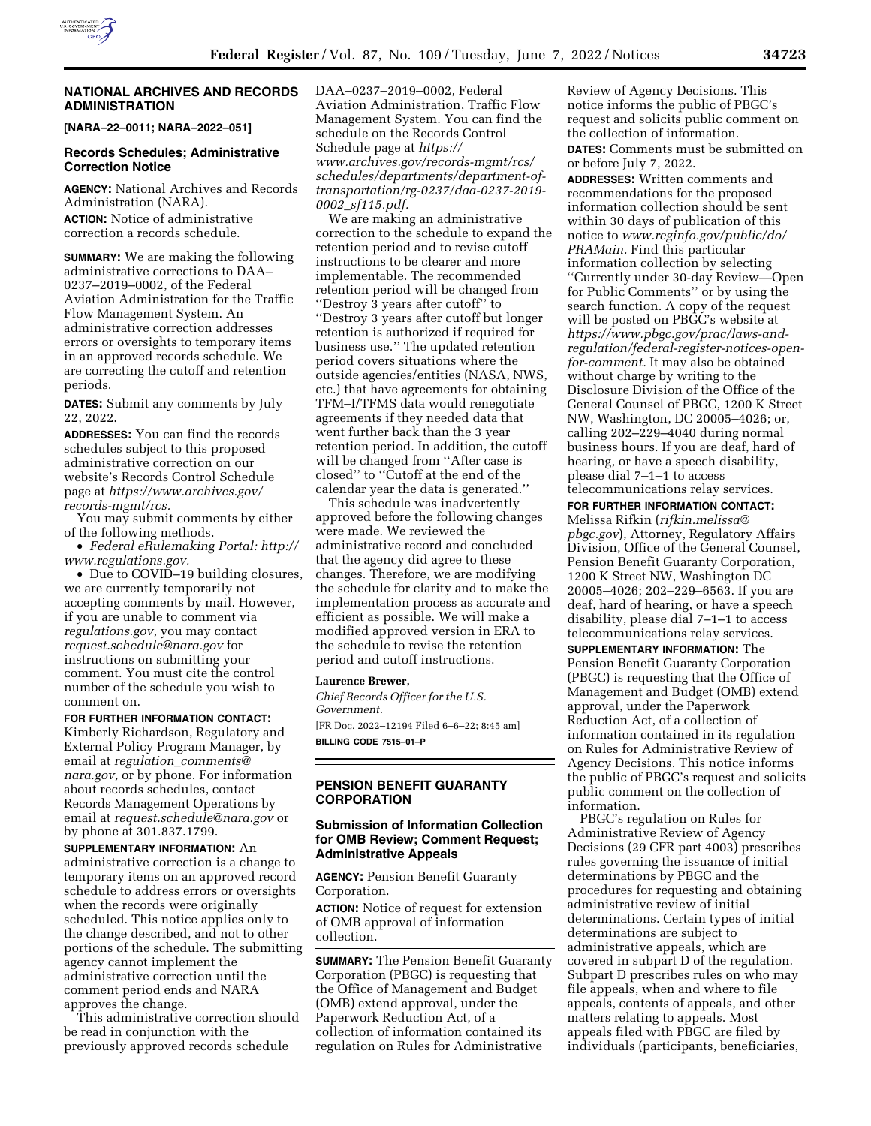

### **NATIONAL ARCHIVES AND RECORDS ADMINISTRATION**

**[NARA–22–0011; NARA–2022–051]** 

### **Records Schedules; Administrative Correction Notice**

**AGENCY:** National Archives and Records Administration (NARA). **ACTION:** Notice of administrative correction a records schedule.

**SUMMARY:** We are making the following administrative corrections to DAA– 0237–2019–0002, of the Federal Aviation Administration for the Traffic Flow Management System. An administrative correction addresses errors or oversights to temporary items in an approved records schedule. We are correcting the cutoff and retention periods.

**DATES:** Submit any comments by July 22, 2022.

**ADDRESSES:** You can find the records schedules subject to this proposed administrative correction on our website's Records Control Schedule page at *[https://www.archives.gov/](https://www.archives.gov/records-mgmt/rcs)  [records-mgmt/rcs.](https://www.archives.gov/records-mgmt/rcs)* 

You may submit comments by either of the following methods.

• *Federal eRulemaking Portal: [http://](http://www.regulations.gov)  [www.regulations.gov.](http://www.regulations.gov)* 

• Due to COVID-19 building closures, we are currently temporarily not accepting comments by mail. However, if you are unable to comment via *regulations.gov*, you may contact *[request.schedule@nara.gov](mailto:request.schedule@nara.gov)* for instructions on submitting your comment. You must cite the control number of the schedule you wish to comment on.

**FOR FURTHER INFORMATION CONTACT:**  Kimberly Richardson, Regulatory and

External Policy Program Manager, by email at *regulation*\_*[comments@](mailto:regulation_comments@nara.gov) [nara.gov,](mailto:regulation_comments@nara.gov)* or by phone. For information about records schedules, contact Records Management Operations by email at *[request.schedule@nara.gov](mailto:request.schedule@nara.gov)* or by phone at 301.837.1799.

**SUPPLEMENTARY INFORMATION:** An administrative correction is a change to temporary items on an approved record schedule to address errors or oversights when the records were originally scheduled. This notice applies only to the change described, and not to other portions of the schedule. The submitting agency cannot implement the administrative correction until the comment period ends and NARA approves the change.

This administrative correction should be read in conjunction with the previously approved records schedule

DAA–0237–2019–0002, Federal Aviation Administration, Traffic Flow Management System. You can find the schedule on the Records Control Schedule page at *[https://](https://www.archives.gov/records-mgmt/rcs/schedules/departments/department-of-transportation/rg-0237/daa-0237-2019-0002_sf115.pdf) [www.archives.gov/records-mgmt/rcs/](https://www.archives.gov/records-mgmt/rcs/schedules/departments/department-of-transportation/rg-0237/daa-0237-2019-0002_sf115.pdf)  [schedules/departments/department-of](https://www.archives.gov/records-mgmt/rcs/schedules/departments/department-of-transportation/rg-0237/daa-0237-2019-0002_sf115.pdf)[transportation/rg-0237/daa-0237-2019-](https://www.archives.gov/records-mgmt/rcs/schedules/departments/department-of-transportation/rg-0237/daa-0237-2019-0002_sf115.pdf)  0002*\_*[sf115.pdf.](https://www.archives.gov/records-mgmt/rcs/schedules/departments/department-of-transportation/rg-0237/daa-0237-2019-0002_sf115.pdf)* 

We are making an administrative correction to the schedule to expand the retention period and to revise cutoff instructions to be clearer and more implementable. The recommended retention period will be changed from ''Destroy 3 years after cutoff'' to ''Destroy 3 years after cutoff but longer retention is authorized if required for business use.'' The updated retention period covers situations where the outside agencies/entities (NASA, NWS, etc.) that have agreements for obtaining TFM–I/TFMS data would renegotiate agreements if they needed data that went further back than the 3 year retention period. In addition, the cutoff will be changed from ''After case is closed'' to ''Cutoff at the end of the calendar year the data is generated.''

This schedule was inadvertently approved before the following changes were made. We reviewed the administrative record and concluded that the agency did agree to these changes. Therefore, we are modifying the schedule for clarity and to make the implementation process as accurate and efficient as possible. We will make a modified approved version in ERA to the schedule to revise the retention period and cutoff instructions.

#### **Laurence Brewer,**

*Chief Records Officer for the U.S. Government.*  [FR Doc. 2022–12194 Filed 6–6–22; 8:45 am]

**BILLING CODE 7515–01–P** 

## **PENSION BENEFIT GUARANTY CORPORATION**

## **Submission of Information Collection for OMB Review; Comment Request; Administrative Appeals**

**AGENCY:** Pension Benefit Guaranty Corporation.

**ACTION:** Notice of request for extension of OMB approval of information collection.

**SUMMARY:** The Pension Benefit Guaranty Corporation (PBGC) is requesting that the Office of Management and Budget (OMB) extend approval, under the Paperwork Reduction Act, of a collection of information contained its regulation on Rules for Administrative

Review of Agency Decisions. This notice informs the public of PBGC's request and solicits public comment on the collection of information. **DATES:** Comments must be submitted on

or before July 7, 2022.

**ADDRESSES:** Written comments and recommendations for the proposed information collection should be sent within 30 days of publication of this notice to *[www.reginfo.gov/public/do/](http://www.reginfo.gov/public/do/PRAMain) [PRAMain.](http://www.reginfo.gov/public/do/PRAMain)* Find this particular information collection by selecting ''Currently under 30-day Review—Open for Public Comments'' or by using the search function. A copy of the request will be posted on PBGC's website at *https://www.pbgc.gov/prac/laws-and[regulation/federal-register-notices-open](https://www.pbgc.gov/prac/laws-and-regulation/federal-register-notices-open-for-comment)[for-comment.](https://www.pbgc.gov/prac/laws-and-regulation/federal-register-notices-open-for-comment)* It may also be obtained without charge by writing to the Disclosure Division of the Office of the General Counsel of PBGC, 1200 K Street NW, Washington, DC 20005–4026; or, calling 202–229–4040 during normal business hours. If you are deaf, hard of hearing, or have a speech disability, please dial 7–1–1 to access telecommunications relay services.

**FOR FURTHER INFORMATION CONTACT:**  Melissa Rifkin (*[rifkin.melissa@](mailto:rifkin.melissa@pbgc.gov) [pbgc.gov](mailto:rifkin.melissa@pbgc.gov)*), Attorney, Regulatory Affairs Division, Office of the General Counsel, Pension Benefit Guaranty Corporation, 1200 K Street NW, Washington DC 20005–4026; 202–229–6563. If you are deaf, hard of hearing, or have a speech disability, please dial 7–1–1 to access telecommunications relay services.

**SUPPLEMENTARY INFORMATION:** The Pension Benefit Guaranty Corporation (PBGC) is requesting that the Office of Management and Budget (OMB) extend approval, under the Paperwork Reduction Act, of a collection of information contained in its regulation on Rules for Administrative Review of Agency Decisions. This notice informs the public of PBGC's request and solicits public comment on the collection of information.

PBGC's regulation on Rules for Administrative Review of Agency Decisions (29 CFR part 4003) prescribes rules governing the issuance of initial determinations by PBGC and the procedures for requesting and obtaining administrative review of initial determinations. Certain types of initial determinations are subject to administrative appeals, which are covered in subpart D of the regulation. Subpart D prescribes rules on who may file appeals, when and where to file appeals, contents of appeals, and other matters relating to appeals. Most appeals filed with PBGC are filed by individuals (participants, beneficiaries,